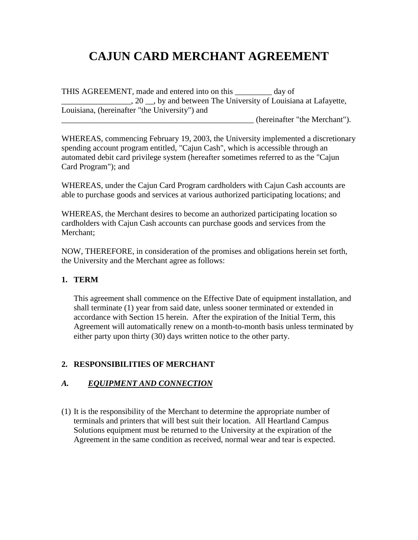# **CAJUN CARD MERCHANT AGREEMENT**

THIS AGREEMENT, made and entered into on this day of \_\_\_\_\_\_\_\_\_\_\_\_\_\_\_\_\_, 20 \_\_, by and between The University of Louisiana at Lafayette, Louisiana, (hereinafter "the University") and

\_\_\_\_\_\_\_\_\_\_\_\_\_\_\_\_\_\_\_\_\_\_\_\_\_\_\_\_\_\_\_\_\_\_\_\_\_\_\_\_\_\_\_\_\_\_\_ (hereinafter "the Merchant").

WHEREAS, commencing February 19, 2003, the University implemented a discretionary spending account program entitled, "Cajun Cash", which is accessible through an automated debit card privilege system (hereafter sometimes referred to as the "Cajun Card Program"); and

WHEREAS, under the Cajun Card Program cardholders with Cajun Cash accounts are able to purchase goods and services at various authorized participating locations; and

WHEREAS, the Merchant desires to become an authorized participating location so cardholders with Cajun Cash accounts can purchase goods and services from the Merchant;

NOW, THEREFORE, in consideration of the promises and obligations herein set forth, the University and the Merchant agree as follows:

#### **1. TERM**

This agreement shall commence on the Effective Date of equipment installation, and shall terminate (1) year from said date, unless sooner terminated or extended in accordance with Section 15 herein. After the expiration of the Initial Term, this Agreement will automatically renew on a month-to-month basis unless terminated by either party upon thirty (30) days written notice to the other party.

#### **2. RESPONSIBILITIES OF MERCHANT**

#### *A. EQUIPMENT AND CONNECTION*

(1) It is the responsibility of the Merchant to determine the appropriate number of terminals and printers that will best suit their location. All Heartland Campus Solutions equipment must be returned to the University at the expiration of the Agreement in the same condition as received, normal wear and tear is expected.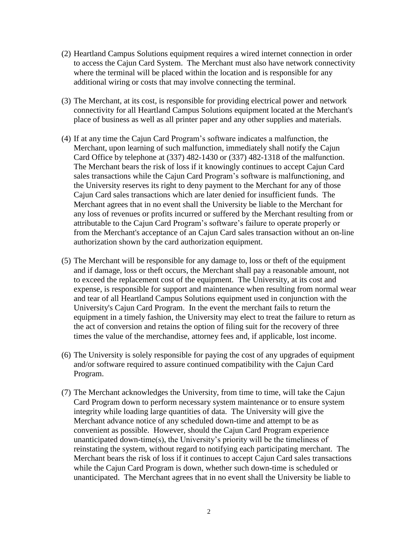- (2) Heartland Campus Solutions equipment requires a wired internet connection in order to access the Cajun Card System. The Merchant must also have network connectivity where the terminal will be placed within the location and is responsible for any additional wiring or costs that may involve connecting the terminal.
- (3) The Merchant, at its cost, is responsible for providing electrical power and network connectivity for all Heartland Campus Solutions equipment located at the Merchant's place of business as well as all printer paper and any other supplies and materials.
- (4) If at any time the Cajun Card Program's software indicates a malfunction, the Merchant, upon learning of such malfunction, immediately shall notify the Cajun Card Office by telephone at (337) 482-1430 or (337) 482-1318 of the malfunction. The Merchant bears the risk of loss if it knowingly continues to accept Cajun Card sales transactions while the Cajun Card Program's software is malfunctioning, and the University reserves its right to deny payment to the Merchant for any of those Cajun Card sales transactions which are later denied for insufficient funds. The Merchant agrees that in no event shall the University be liable to the Merchant for any loss of revenues or profits incurred or suffered by the Merchant resulting from or attributable to the Cajun Card Program's software's failure to operate properly or from the Merchant's acceptance of an Cajun Card sales transaction without an on-line authorization shown by the card authorization equipment.
- (5) The Merchant will be responsible for any damage to, loss or theft of the equipment and if damage, loss or theft occurs, the Merchant shall pay a reasonable amount, not to exceed the replacement cost of the equipment. The University, at its cost and expense, is responsible for support and maintenance when resulting from normal wear and tear of all Heartland Campus Solutions equipment used in conjunction with the University's Cajun Card Program. In the event the merchant fails to return the equipment in a timely fashion, the University may elect to treat the failure to return as the act of conversion and retains the option of filing suit for the recovery of three times the value of the merchandise, attorney fees and, if applicable, lost income.
- (6) The University is solely responsible for paying the cost of any upgrades of equipment and/or software required to assure continued compatibility with the Cajun Card Program.
- (7) The Merchant acknowledges the University, from time to time, will take the Cajun Card Program down to perform necessary system maintenance or to ensure system integrity while loading large quantities of data. The University will give the Merchant advance notice of any scheduled down-time and attempt to be as convenient as possible. However, should the Cajun Card Program experience unanticipated down-time(s), the University's priority will be the timeliness of reinstating the system, without regard to notifying each participating merchant. The Merchant bears the risk of loss if it continues to accept Cajun Card sales transactions while the Cajun Card Program is down, whether such down-time is scheduled or unanticipated. The Merchant agrees that in no event shall the University be liable to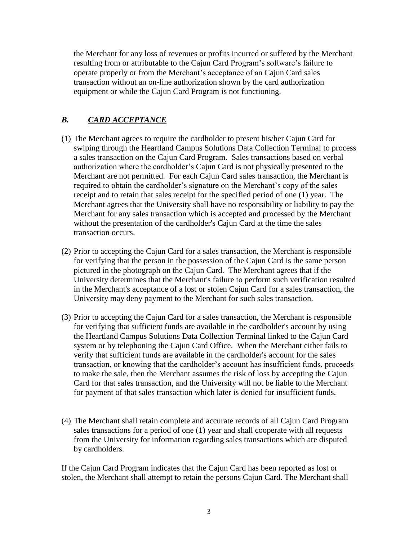the Merchant for any loss of revenues or profits incurred or suffered by the Merchant resulting from or attributable to the Cajun Card Program's software's failure to operate properly or from the Merchant's acceptance of an Cajun Card sales transaction without an on-line authorization shown by the card authorization equipment or while the Cajun Card Program is not functioning.

# *B. CARD ACCEPTANCE*

- (1) The Merchant agrees to require the cardholder to present his/her Cajun Card for swiping through the Heartland Campus Solutions Data Collection Terminal to process a sales transaction on the Cajun Card Program. Sales transactions based on verbal authorization where the cardholder's Cajun Card is not physically presented to the Merchant are not permitted. For each Cajun Card sales transaction, the Merchant is required to obtain the cardholder's signature on the Merchant's copy of the sales receipt and to retain that sales receipt for the specified period of one (1) year. The Merchant agrees that the University shall have no responsibility or liability to pay the Merchant for any sales transaction which is accepted and processed by the Merchant without the presentation of the cardholder's Cajun Card at the time the sales transaction occurs.
- (2) Prior to accepting the Cajun Card for a sales transaction, the Merchant is responsible for verifying that the person in the possession of the Cajun Card is the same person pictured in the photograph on the Cajun Card. The Merchant agrees that if the University determines that the Merchant's failure to perform such verification resulted in the Merchant's acceptance of a lost or stolen Cajun Card for a sales transaction, the University may deny payment to the Merchant for such sales transaction.
- (3) Prior to accepting the Cajun Card for a sales transaction, the Merchant is responsible for verifying that sufficient funds are available in the cardholder's account by using the Heartland Campus Solutions Data Collection Terminal linked to the Cajun Card system or by telephoning the Cajun Card Office. When the Merchant either fails to verify that sufficient funds are available in the cardholder's account for the sales transaction, or knowing that the cardholder's account has insufficient funds, proceeds to make the sale, then the Merchant assumes the risk of loss by accepting the Cajun Card for that sales transaction, and the University will not be liable to the Merchant for payment of that sales transaction which later is denied for insufficient funds.
- (4) The Merchant shall retain complete and accurate records of all Cajun Card Program sales transactions for a period of one (1) year and shall cooperate with all requests from the University for information regarding sales transactions which are disputed by cardholders.

If the Cajun Card Program indicates that the Cajun Card has been reported as lost or stolen, the Merchant shall attempt to retain the persons Cajun Card. The Merchant shall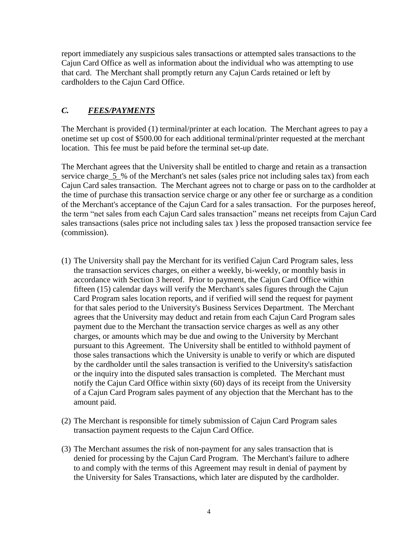report immediately any suspicious sales transactions or attempted sales transactions to the Cajun Card Office as well as information about the individual who was attempting to use that card. The Merchant shall promptly return any Cajun Cards retained or left by cardholders to the Cajun Card Office.

# *C. FEES/PAYMENTS*

The Merchant is provided (1) terminal/printer at each location. The Merchant agrees to pay a onetime set up cost of \$500.00 for each additional terminal/printer requested at the merchant location. This fee must be paid before the terminal set-up date.

The Merchant agrees that the University shall be entitled to charge and retain as a transaction service charge\_5\_% of the Merchant's net sales (sales price not including sales tax) from each Cajun Card sales transaction. The Merchant agrees not to charge or pass on to the cardholder at the time of purchase this transaction service charge or any other fee or surcharge as a condition of the Merchant's acceptance of the Cajun Card for a sales transaction. For the purposes hereof, the term "net sales from each Cajun Card sales transaction" means net receipts from Cajun Card sales transactions (sales price not including sales tax ) less the proposed transaction service fee (commission).

- (1) The University shall pay the Merchant for its verified Cajun Card Program sales, less the transaction services charges, on either a weekly, bi-weekly, or monthly basis in accordance with Section 3 hereof. Prior to payment, the Cajun Card Office within fifteen (15) calendar days will verify the Merchant's sales figures through the Cajun Card Program sales location reports, and if verified will send the request for payment for that sales period to the University's Business Services Department. The Merchant agrees that the University may deduct and retain from each Cajun Card Program sales payment due to the Merchant the transaction service charges as well as any other charges, or amounts which may be due and owing to the University by Merchant pursuant to this Agreement. The University shall be entitled to withhold payment of those sales transactions which the University is unable to verify or which are disputed by the cardholder until the sales transaction is verified to the University's satisfaction or the inquiry into the disputed sales transaction is completed. The Merchant must notify the Cajun Card Office within sixty (60) days of its receipt from the University of a Cajun Card Program sales payment of any objection that the Merchant has to the amount paid.
- (2) The Merchant is responsible for timely submission of Cajun Card Program sales transaction payment requests to the Cajun Card Office.
- (3) The Merchant assumes the risk of non-payment for any sales transaction that is denied for processing by the Cajun Card Program. The Merchant's failure to adhere to and comply with the terms of this Agreement may result in denial of payment by the University for Sales Transactions, which later are disputed by the cardholder.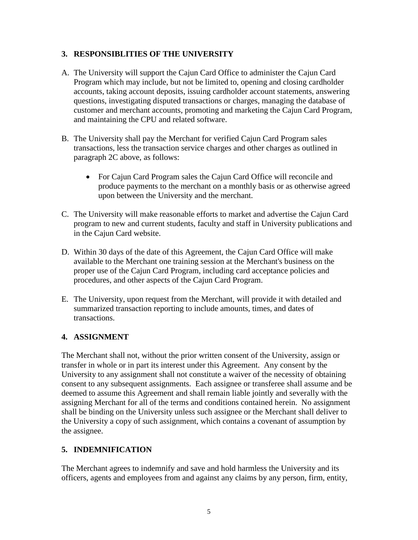#### **3. RESPONSIBLITIES OF THE UNIVERSITY**

- A. The University will support the Cajun Card Office to administer the Cajun Card Program which may include, but not be limited to, opening and closing cardholder accounts, taking account deposits, issuing cardholder account statements, answering questions, investigating disputed transactions or charges, managing the database of customer and merchant accounts, promoting and marketing the Cajun Card Program, and maintaining the CPU and related software.
- B. The University shall pay the Merchant for verified Cajun Card Program sales transactions, less the transaction service charges and other charges as outlined in paragraph 2C above, as follows:
	- For Cajun Card Program sales the Cajun Card Office will reconcile and produce payments to the merchant on a monthly basis or as otherwise agreed upon between the University and the merchant.
- C. The University will make reasonable efforts to market and advertise the Cajun Card program to new and current students, faculty and staff in University publications and in the Cajun Card website.
- D. Within 30 days of the date of this Agreement, the Cajun Card Office will make available to the Merchant one training session at the Merchant's business on the proper use of the Cajun Card Program, including card acceptance policies and procedures, and other aspects of the Cajun Card Program.
- E. The University, upon request from the Merchant, will provide it with detailed and summarized transaction reporting to include amounts, times, and dates of transactions.

#### **4. ASSIGNMENT**

The Merchant shall not, without the prior written consent of the University, assign or transfer in whole or in part its interest under this Agreement. Any consent by the University to any assignment shall not constitute a waiver of the necessity of obtaining consent to any subsequent assignments. Each assignee or transferee shall assume and be deemed to assume this Agreement and shall remain liable jointly and severally with the assigning Merchant for all of the terms and conditions contained herein. No assignment shall be binding on the University unless such assignee or the Merchant shall deliver to the University a copy of such assignment, which contains a covenant of assumption by the assignee.

## **5. INDEMNIFICATION**

The Merchant agrees to indemnify and save and hold harmless the University and its officers, agents and employees from and against any claims by any person, firm, entity,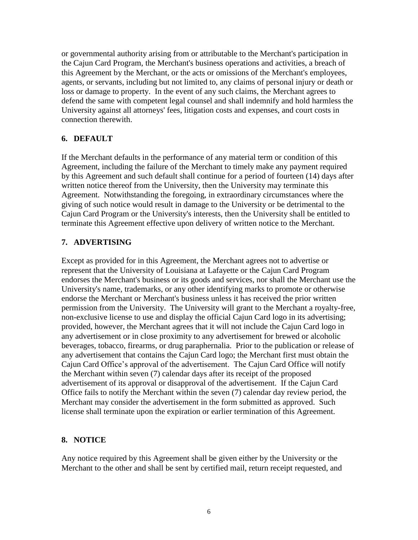or governmental authority arising from or attributable to the Merchant's participation in the Cajun Card Program, the Merchant's business operations and activities, a breach of this Agreement by the Merchant, or the acts or omissions of the Merchant's employees, agents, or servants, including but not limited to, any claims of personal injury or death or loss or damage to property. In the event of any such claims, the Merchant agrees to defend the same with competent legal counsel and shall indemnify and hold harmless the University against all attorneys' fees, litigation costs and expenses, and court costs in connection therewith.

#### **6. DEFAULT**

If the Merchant defaults in the performance of any material term or condition of this Agreement, including the failure of the Merchant to timely make any payment required by this Agreement and such default shall continue for a period of fourteen (14) days after written notice thereof from the University, then the University may terminate this Agreement. Notwithstanding the foregoing, in extraordinary circumstances where the giving of such notice would result in damage to the University or be detrimental to the Cajun Card Program or the University's interests, then the University shall be entitled to terminate this Agreement effective upon delivery of written notice to the Merchant.

#### **7. ADVERTISING**

Except as provided for in this Agreement, the Merchant agrees not to advertise or represent that the University of Louisiana at Lafayette or the Cajun Card Program endorses the Merchant's business or its goods and services, nor shall the Merchant use the University's name, trademarks, or any other identifying marks to promote or otherwise endorse the Merchant or Merchant's business unless it has received the prior written permission from the University. The University will grant to the Merchant a royalty-free, non-exclusive license to use and display the official Cajun Card logo in its advertising; provided, however, the Merchant agrees that it will not include the Cajun Card logo in any advertisement or in close proximity to any advertisement for brewed or alcoholic beverages, tobacco, firearms, or drug paraphernalia. Prior to the publication or release of any advertisement that contains the Cajun Card logo; the Merchant first must obtain the Cajun Card Office's approval of the advertisement. The Cajun Card Office will notify the Merchant within seven (7) calendar days after its receipt of the proposed advertisement of its approval or disapproval of the advertisement. If the Cajun Card Office fails to notify the Merchant within the seven (7) calendar day review period, the Merchant may consider the advertisement in the form submitted as approved. Such license shall terminate upon the expiration or earlier termination of this Agreement.

#### **8. NOTICE**

Any notice required by this Agreement shall be given either by the University or the Merchant to the other and shall be sent by certified mail, return receipt requested, and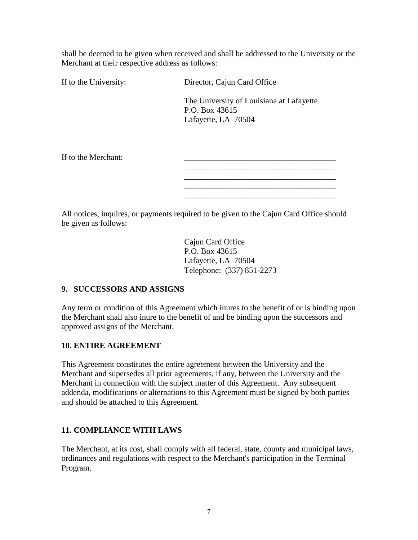shall be deemed to be given when received and shall be addressed to the University or the Merchant at their respective address as follows:

If to the University: Director, Cajun Card Office

The University of Louisiana at Lafayette P.O. Box 43615 Lafayette, LA 70504

\_\_\_\_\_\_\_\_\_\_\_\_\_\_\_\_\_\_\_\_\_\_\_\_\_\_\_\_\_\_\_\_\_\_\_\_\_ \_\_\_\_\_\_\_\_\_\_\_\_\_\_\_\_\_\_\_\_\_\_\_\_\_\_\_\_\_\_\_\_\_\_\_\_\_

\_\_\_\_\_\_\_\_\_\_\_\_\_\_\_\_\_\_\_\_\_\_\_\_\_\_\_\_\_\_\_\_\_\_\_\_\_

If to the Merchant:

All notices, inquires, or payments required to be given to the Cajun Card Office should be given as follows:

> Cajun Card Office P.O. Box 43615 Lafayette, LA 70504 Telephone: (337) 851-2273

#### **9. SUCCESSORS AND ASSIGNS**

Any term or condition of this Agreement which inures to the benefit of or is binding upon the Merchant shall also inure to the benefit of and be binding upon the successors and approved assigns of the Merchant.

#### **10. ENTIRE AGREEMENT**

This Agreement constitutes the entire agreement between the University and the Merchant and supersedes all prior agreements, if any, between the University and the Merchant in connection with the subject matter of this Agreement. Any subsequent addenda, modifications or alternations to this Agreement must be signed by both parties and should be attached to this Agreement.

#### **11. COMPLIANCE WITH LAWS**

The Merchant, at its cost, shall comply with all federal, state, county and municipal laws, ordinances and regulations with respect to the Merchant's participation in the Terminal Program.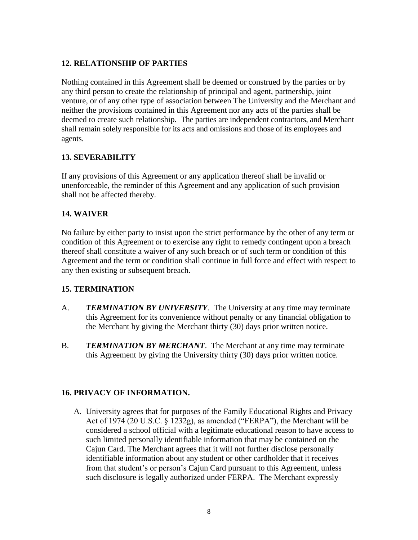#### **12. RELATIONSHIP OF PARTIES**

Nothing contained in this Agreement shall be deemed or construed by the parties or by any third person to create the relationship of principal and agent, partnership, joint venture, or of any other type of association between The University and the Merchant and neither the provisions contained in this Agreement nor any acts of the parties shall be deemed to create such relationship. The parties are independent contractors, and Merchant shall remain solely responsible for its acts and omissions and those of its employees and agents.

### **13. SEVERABILITY**

If any provisions of this Agreement or any application thereof shall be invalid or unenforceable, the reminder of this Agreement and any application of such provision shall not be affected thereby.

### **14. WAIVER**

No failure by either party to insist upon the strict performance by the other of any term or condition of this Agreement or to exercise any right to remedy contingent upon a breach thereof shall constitute a waiver of any such breach or of such term or condition of this Agreement and the term or condition shall continue in full force and effect with respect to any then existing or subsequent breach.

#### **15. TERMINATION**

- A. *TERMINATION BY UNIVERSITY*. The University at any time may terminate this Agreement for its convenience without penalty or any financial obligation to the Merchant by giving the Merchant thirty (30) days prior written notice.
- B. *TERMINATION BY MERCHANT*. The Merchant at any time may terminate this Agreement by giving the University thirty (30) days prior written notice.

#### **16. PRIVACY OF INFORMATION.**

A. University agrees that for purposes of the Family Educational Rights and Privacy Act of 1974 (20 U.S.C. § 1232g), as amended ("FERPA"), the Merchant will be considered a school official with a legitimate educational reason to have access to such limited personally identifiable information that may be contained on the Cajun Card. The Merchant agrees that it will not further disclose personally identifiable information about any student or other cardholder that it receives from that student's or person's Cajun Card pursuant to this Agreement, unless such disclosure is legally authorized under FERPA. The Merchant expressly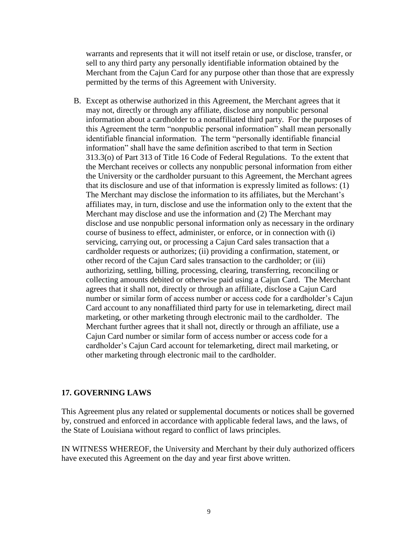warrants and represents that it will not itself retain or use, or disclose, transfer, or sell to any third party any personally identifiable information obtained by the Merchant from the Cajun Card for any purpose other than those that are expressly permitted by the terms of this Agreement with University.

B. Except as otherwise authorized in this Agreement, the Merchant agrees that it may not, directly or through any affiliate, disclose any nonpublic personal information about a cardholder to a nonaffiliated third party. For the purposes of this Agreement the term "nonpublic personal information" shall mean personally identifiable financial information. The term "personally identifiable financial information" shall have the same definition ascribed to that term in Section 313.3(o) of Part 313 of Title 16 Code of Federal Regulations. To the extent that the Merchant receives or collects any nonpublic personal information from either the University or the cardholder pursuant to this Agreement, the Merchant agrees that its disclosure and use of that information is expressly limited as follows: (1) The Merchant may disclose the information to its affiliates, but the Merchant's affiliates may, in turn, disclose and use the information only to the extent that the Merchant may disclose and use the information and (2) The Merchant may disclose and use nonpublic personal information only as necessary in the ordinary course of business to effect, administer, or enforce, or in connection with (i) servicing, carrying out, or processing a Cajun Card sales transaction that a cardholder requests or authorizes; (ii) providing a confirmation, statement, or other record of the Cajun Card sales transaction to the cardholder; or (iii) authorizing, settling, billing, processing, clearing, transferring, reconciling or collecting amounts debited or otherwise paid using a Cajun Card. The Merchant agrees that it shall not, directly or through an affiliate, disclose a Cajun Card number or similar form of access number or access code for a cardholder's Cajun Card account to any nonaffiliated third party for use in telemarketing, direct mail marketing, or other marketing through electronic mail to the cardholder. The Merchant further agrees that it shall not, directly or through an affiliate, use a Cajun Card number or similar form of access number or access code for a cardholder's Cajun Card account for telemarketing, direct mail marketing, or other marketing through electronic mail to the cardholder.

#### **17. GOVERNING LAWS**

This Agreement plus any related or supplemental documents or notices shall be governed by, construed and enforced in accordance with applicable federal laws, and the laws, of the State of Louisiana without regard to conflict of laws principles.

IN WITNESS WHEREOF, the University and Merchant by their duly authorized officers have executed this Agreement on the day and year first above written.